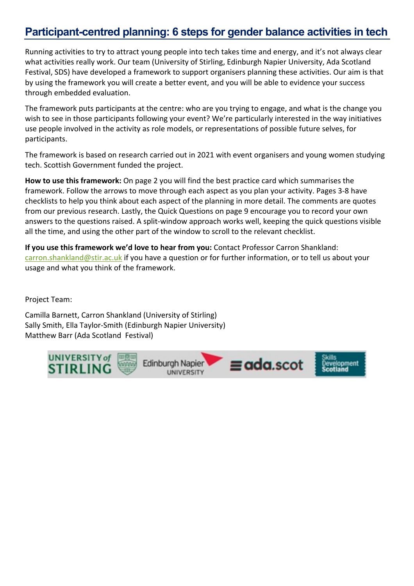# **Participant-centred planning: 6 steps for gender balance activities in tech**

Running activities to try to attract young people into tech takes time and energy, and it's not always clear what activities really work. Our team (University of Stirling, Edinburgh Napier University, Ada Scotland Festival, SDS) have developed a framework to support organisers planning these activities. Our aim is that by using the framework you will create a better event, and you will be able to evidence your success through embedded evaluation.

The framework puts participants at the centre: who are you trying to engage, and what is the change you wish to see in those participants following your event? We're particularly interested in the way initiatives use people involved in the activity as role models, or representations of possible future selves, for participants.

The framework is based on research carried out in 2021 with event organisers and young women studying tech. Scottish Government funded the project.

**How to use this framework:** On page 2 you will find the best practice card which summarises the framework. Follow the arrows to move through each aspect as you plan your activity. Pages 3-8 have checklists to help you think about each aspect of the planning in more detail. The comments are quotes from our previous research. Lastly, the Quick Questions on page 9 encourage you to record your own answers to the questions raised. A split-window approach works well, keeping the quick questions visible all the time, and using the other part of the window to scroll to the relevant checklist.

**If you use this framework we'd love to hear from you:** Contact Professor Carron Shankland: carron.shankland@stir.ac.uk if you have a question or for further information, or to tell us about your usage and what you think of the framework.

Project Team:

Camilla Barnett, Carron Shankland (University of Stirling) Sally Smith, Ella Taylor-Smith (Edinburgh Napier University) Matthew Barr (Ada Scotland Festival)

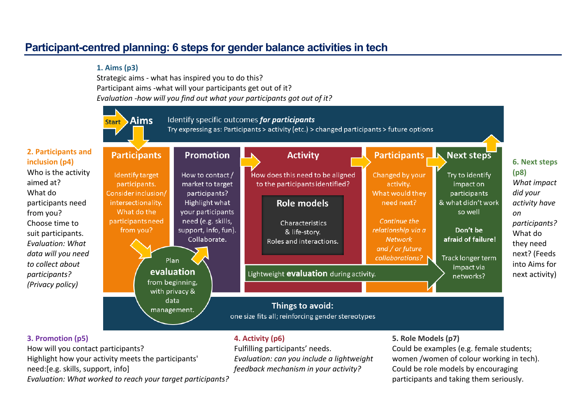## **Participant-centred planning: 6 steps for gender balance activities in tech**

### **1. Aims (p3)**

Strategic aims - what has inspired you to do this? Participant aims -what will your participants get out of it? *Evaluation -how will you find out what your participants got out of it?*



### **3. Promotion (p5)**

How will you contact participants? Highlight how your activity meets the participants' need:[e.g. skills, support, info] *Evaluation: What worked to reach your target participants?*

#### **4. Activity (p6)**

Fulfilling participants' needs. *Evaluation: can you include a lightweight feedback mechanism in your activity?*

### **5. Role Models (p7)**

Could be examples (e.g. female students; women /women of colour working in tech). Could be role models by encouraging participants and taking them seriously.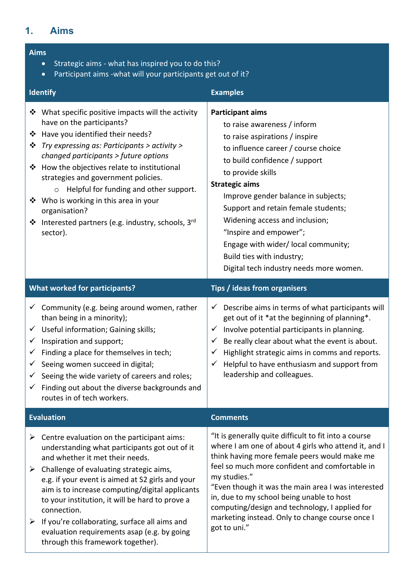## **1. Aims**

### **1. Aims**

- Strategic aims what has inspired you to do this?
- Participant aims -what will your participants get out of it?

| <b>Identify</b>                                                                                                                                                                                                                                                                                                                                                                                                                                                                                                             | <b>Examples</b>                                                                                                                                                                                                                                                                                                                                                                                                                                                         |
|-----------------------------------------------------------------------------------------------------------------------------------------------------------------------------------------------------------------------------------------------------------------------------------------------------------------------------------------------------------------------------------------------------------------------------------------------------------------------------------------------------------------------------|-------------------------------------------------------------------------------------------------------------------------------------------------------------------------------------------------------------------------------------------------------------------------------------------------------------------------------------------------------------------------------------------------------------------------------------------------------------------------|
| $\clubsuit$ What specific positive impacts will the activity<br>have on the participants?<br>Have you identified their needs?<br>❖<br>$\mathbf{\hat{P}}$ Try expressing as: Participants > activity ><br>changed participants > future options<br>❖ How the objectives relate to institutional<br>strategies and government policies.<br>Helpful for funding and other support.<br>$\circ$<br>❖ Who is working in this area in your<br>organisation?<br>❖ Interested partners (e.g. industry, schools, $3^{rd}$<br>sector). | <b>Participant aims</b><br>to raise awareness / inform<br>to raise aspirations / inspire<br>to influence career / course choice<br>to build confidence / support<br>to provide skills<br><b>Strategic aims</b><br>Improve gender balance in subjects;<br>Support and retain female students;<br>Widening access and inclusion;<br>"Inspire and empower";<br>Engage with wider/ local community;<br>Build ties with industry;<br>Digital tech industry needs more women. |
| <b>What worked for participants?</b>                                                                                                                                                                                                                                                                                                                                                                                                                                                                                        | Tips / ideas from organisers                                                                                                                                                                                                                                                                                                                                                                                                                                            |
| $\checkmark$ Community (e.g. being around women, rather<br>than being in a minority);<br>$\checkmark$ Useful information; Gaining skills;<br>Inspiration and support;<br>$\checkmark$<br>Finding a place for themselves in tech;<br>$\checkmark$<br>Seeing women succeed in digital;<br>$\checkmark$<br>Seeing the wide variety of careers and roles;<br>$\checkmark$<br>$\checkmark$ Finding out about the diverse backgrounds and<br>routes in of tech workers.                                                           | Describe aims in terms of what participants will<br>$\checkmark$<br>get out of it *at the beginning of planning*.<br>Involve potential participants in planning.<br>✓<br>Be really clear about what the event is about.<br>$\checkmark$<br>Highlight strategic aims in comms and reports.<br>$\checkmark$<br>Helpful to have enthusiasm and support from<br>✓<br>leadership and colleagues.                                                                             |
| <b>Evaluation</b>                                                                                                                                                                                                                                                                                                                                                                                                                                                                                                           | <b>Comments</b>                                                                                                                                                                                                                                                                                                                                                                                                                                                         |
| $\triangleright$ Centre evaluation on the participant aims:<br>understanding what participants got out of it<br>and whether it met their needs.<br>$\triangleright$ Challenge of evaluating strategic aims,<br>e.g. if your event is aimed at S2 girls and your<br>aim is to increase computing/digital applicants<br>to your institution, it will be hard to prove a<br>connection.<br>If you're collaborating, surface all aims and<br>evaluation requirements asap (e.g. by going<br>through this framework together).   | "It is generally quite difficult to fit into a course<br>where I am one of about 4 girls who attend it, and I<br>think having more female peers would make me<br>feel so much more confident and comfortable in<br>my studies."<br>"Even though it was the main area I was interested<br>in, due to my school being unable to host<br>computing/design and technology, I applied for<br>marketing instead. Only to change course once I<br>got to uni."                 |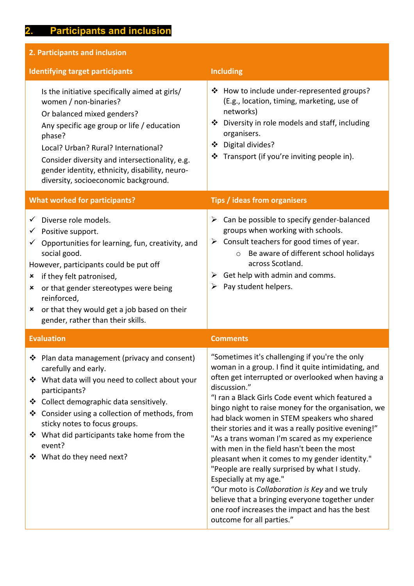# **2. Participants and inclusion**

| 2. Participants and inclusion                                                                                                                                                                                                                                                                                                                                                         |                                                                                                                                                                                                                                                                                                                                                                                                                                                                                                                                                                                                                                                                                                                                                                                                              |  |
|---------------------------------------------------------------------------------------------------------------------------------------------------------------------------------------------------------------------------------------------------------------------------------------------------------------------------------------------------------------------------------------|--------------------------------------------------------------------------------------------------------------------------------------------------------------------------------------------------------------------------------------------------------------------------------------------------------------------------------------------------------------------------------------------------------------------------------------------------------------------------------------------------------------------------------------------------------------------------------------------------------------------------------------------------------------------------------------------------------------------------------------------------------------------------------------------------------------|--|
| <b>Identifying target participants</b>                                                                                                                                                                                                                                                                                                                                                | <b>Including</b>                                                                                                                                                                                                                                                                                                                                                                                                                                                                                                                                                                                                                                                                                                                                                                                             |  |
| Is the initiative specifically aimed at girls/<br>women / non-binaries?<br>Or balanced mixed genders?<br>Any specific age group or life / education<br>phase?<br>Local? Urban? Rural? International?<br>Consider diversity and intersectionality, e.g.<br>gender identity, ethnicity, disability, neuro-<br>diversity, socioeconomic background.                                      | ❖ How to include under-represented groups?<br>(E.g., location, timing, marketing, use of<br>networks)<br>Diversity in role models and staff, including<br>organisers.<br>❖ Digital divides?<br>❖ Transport (if you're inviting people in).                                                                                                                                                                                                                                                                                                                                                                                                                                                                                                                                                                   |  |
| <b>What worked for participants?</b>                                                                                                                                                                                                                                                                                                                                                  | <b>Tips / ideas from organisers</b>                                                                                                                                                                                                                                                                                                                                                                                                                                                                                                                                                                                                                                                                                                                                                                          |  |
| Diverse role models.<br>$\checkmark$<br>$\checkmark$ Positive support.<br>$\checkmark$ Opportunities for learning, fun, creativity, and<br>social good.<br>However, participants could be put off<br>* if they felt patronised,<br>or that gender stereotypes were being<br>×<br>reinforced,<br>or that they would get a job based on their<br>×<br>gender, rather than their skills. | $\triangleright$ Can be possible to specify gender-balanced<br>groups when working with schools.<br>$\triangleright$ Consult teachers for good times of year.<br>Be aware of different school holidays<br>$\circ$<br>across Scotland.<br>Get help with admin and comms.<br>➤<br>Pay student helpers.<br>➤                                                                                                                                                                                                                                                                                                                                                                                                                                                                                                    |  |
| <b>Evaluation</b>                                                                                                                                                                                                                                                                                                                                                                     | <b>Comments</b>                                                                                                                                                                                                                                                                                                                                                                                                                                                                                                                                                                                                                                                                                                                                                                                              |  |
| ❖ Plan data management (privacy and consent)<br>carefully and early.<br>❖ What data will you need to collect about your<br>participants?<br>❖ Collect demographic data sensitively.<br>Consider using a collection of methods, from<br>❖<br>sticky notes to focus groups.<br>❖ What did participants take home from the<br>event?<br>What do they need next?<br>❖                     | "Sometimes it's challenging if you're the only<br>woman in a group. I find it quite intimidating, and<br>often get interrupted or overlooked when having a<br>discussion."<br>"I ran a Black Girls Code event which featured a<br>bingo night to raise money for the organisation, we<br>had black women in STEM speakers who shared<br>their stories and it was a really positive evening!"<br>"As a trans woman I'm scared as my experience<br>with men in the field hasn't been the most<br>pleasant when it comes to my gender identity."<br>"People are really surprised by what I study.<br>Especially at my age."<br>"Our moto is Collaboration is Key and we truly<br>believe that a bringing everyone together under<br>one roof increases the impact and has the best<br>outcome for all parties." |  |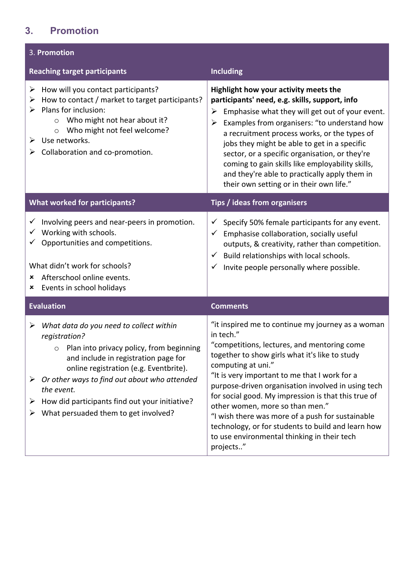## **3. Promotion**

| 3. Promotion                                                                                                                                                                                                                                                                                                                                                             |                                                                                                                                                                                                                                                                                                                                                                                                                                                                                                                                                              |  |
|--------------------------------------------------------------------------------------------------------------------------------------------------------------------------------------------------------------------------------------------------------------------------------------------------------------------------------------------------------------------------|--------------------------------------------------------------------------------------------------------------------------------------------------------------------------------------------------------------------------------------------------------------------------------------------------------------------------------------------------------------------------------------------------------------------------------------------------------------------------------------------------------------------------------------------------------------|--|
| <b>Reaching target participants</b>                                                                                                                                                                                                                                                                                                                                      | <b>Including</b>                                                                                                                                                                                                                                                                                                                                                                                                                                                                                                                                             |  |
| How will you contact participants?<br>➤<br>How to contact / market to target participants?<br>➤<br>Plans for inclusion:<br>Who might not hear about it?<br>$\circ$<br>Who might not feel welcome?<br>$\circ$<br>Use networks.<br>➤<br>Collaboration and co-promotion.<br>⋗                                                                                               | Highlight how your activity meets the<br>participants' need, e.g. skills, support, info<br>Emphasise what they will get out of your event.<br>➤<br>Examples from organisers: "to understand how<br>➤<br>a recruitment process works, or the types of<br>jobs they might be able to get in a specific<br>sector, or a specific organisation, or they're<br>coming to gain skills like employability skills,<br>and they're able to practically apply them in<br>their own setting or in their own life."                                                      |  |
| What worked for participants?                                                                                                                                                                                                                                                                                                                                            | Tips / ideas from organisers                                                                                                                                                                                                                                                                                                                                                                                                                                                                                                                                 |  |
| Involving peers and near-peers in promotion.<br>$\checkmark$<br>Working with schools.<br>$\checkmark$<br>Opportunities and competitions.<br>What didn't work for schools?<br>Afterschool online events.<br>×<br>Events in school holidays<br>×                                                                                                                           | Specify 50% female participants for any event.<br>Emphasise collaboration, socially useful<br>✓<br>outputs, & creativity, rather than competition.<br>Build relationships with local schools.<br>✓<br>Invite people personally where possible.<br>✓                                                                                                                                                                                                                                                                                                          |  |
| <b>Evaluation</b>                                                                                                                                                                                                                                                                                                                                                        | <b>Comments</b>                                                                                                                                                                                                                                                                                                                                                                                                                                                                                                                                              |  |
| What data do you need to collect within<br>➤<br>registration?<br>Plan into privacy policy, from beginning<br>$\circ$<br>and include in registration page for<br>online registration (e.g. Eventbrite).<br>Or other ways to find out about who attended<br>➤<br>the event.<br>How did participants find out your initiative?<br>➤<br>What persuaded them to get involved? | "it inspired me to continue my journey as a woman<br>in tech."<br>"competitions, lectures, and mentoring come<br>together to show girls what it's like to study<br>computing at uni."<br>"It is very important to me that I work for a<br>purpose-driven organisation involved in using tech<br>for social good. My impression is that this true of<br>other women, more so than men."<br>"I wish there was more of a push for sustainable<br>technology, or for students to build and learn how<br>to use environmental thinking in their tech<br>projects" |  |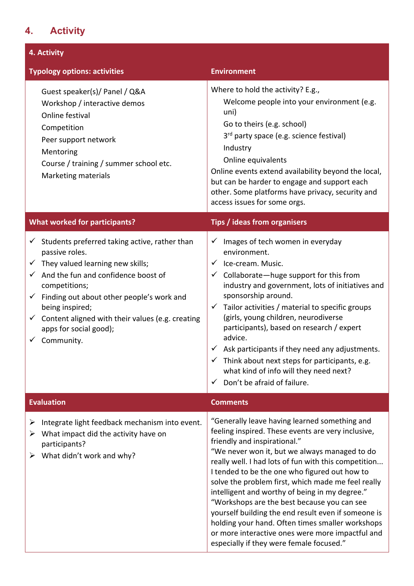# **4. Activity**

| 4. Activity                                                                                                                                                                                                                                                                                                                                                                                   |                                                                                                                                                                                                                                                                                                                                                                                                                                                                                                                                                                                                                                                                 |  |
|-----------------------------------------------------------------------------------------------------------------------------------------------------------------------------------------------------------------------------------------------------------------------------------------------------------------------------------------------------------------------------------------------|-----------------------------------------------------------------------------------------------------------------------------------------------------------------------------------------------------------------------------------------------------------------------------------------------------------------------------------------------------------------------------------------------------------------------------------------------------------------------------------------------------------------------------------------------------------------------------------------------------------------------------------------------------------------|--|
| <b>Typology options: activities</b>                                                                                                                                                                                                                                                                                                                                                           | <b>Environment</b>                                                                                                                                                                                                                                                                                                                                                                                                                                                                                                                                                                                                                                              |  |
| Guest speaker(s)/ Panel / Q&A<br>Workshop / interactive demos<br>Online festival<br>Competition<br>Peer support network<br>Mentoring<br>Course / training / summer school etc.<br>Marketing materials                                                                                                                                                                                         | Where to hold the activity? E.g.,<br>Welcome people into your environment (e.g.<br>uni)<br>Go to theirs (e.g. school)<br>3rd party space (e.g. science festival)<br>Industry<br>Online equivalents<br>Online events extend availability beyond the local,<br>but can be harder to engage and support each<br>other. Some platforms have privacy, security and<br>access issues for some orgs.                                                                                                                                                                                                                                                                   |  |
| <b>What worked for participants?</b>                                                                                                                                                                                                                                                                                                                                                          | Tips / ideas from organisers                                                                                                                                                                                                                                                                                                                                                                                                                                                                                                                                                                                                                                    |  |
| $\checkmark$ Students preferred taking active, rather than<br>passive roles.<br>$\checkmark$ They valued learning new skills;<br>$\checkmark$ And the fun and confidence boost of<br>competitions;<br>$\checkmark$ Finding out about other people's work and<br>being inspired;<br>$\checkmark$ Content aligned with their values (e.g. creating<br>apps for social good);<br>Community.<br>✓ | Images of tech women in everyday<br>$\checkmark$<br>environment.<br>$\checkmark$ Ice-cream. Music.<br>Collaborate-huge support for this from<br>industry and government, lots of initiatives and<br>sponsorship around.<br>$\checkmark$ Tailor activities / material to specific groups<br>(girls, young children, neurodiverse<br>participants), based on research / expert<br>advice.<br>Ask participants if they need any adjustments.<br>Think about next steps for participants, e.g.<br>what kind of info will they need next?<br>Don't be afraid of failure.                                                                                             |  |
| <b>Evaluation</b>                                                                                                                                                                                                                                                                                                                                                                             | <b>Comments</b>                                                                                                                                                                                                                                                                                                                                                                                                                                                                                                                                                                                                                                                 |  |
| Integrate light feedback mechanism into event.<br>➤<br>What impact did the activity have on<br>➤<br>participants?<br>What didn't work and why?<br>➤                                                                                                                                                                                                                                           | "Generally leave having learned something and<br>feeling inspired. These events are very inclusive,<br>friendly and inspirational."<br>"We never won it, but we always managed to do<br>really well. I had lots of fun with this competition<br>I tended to be the one who figured out how to<br>solve the problem first, which made me feel really<br>intelligent and worthy of being in my degree."<br>"Workshops are the best because you can see<br>yourself building the end result even if someone is<br>holding your hand. Often times smaller workshops<br>or more interactive ones were more impactful and<br>especially if they were female focused." |  |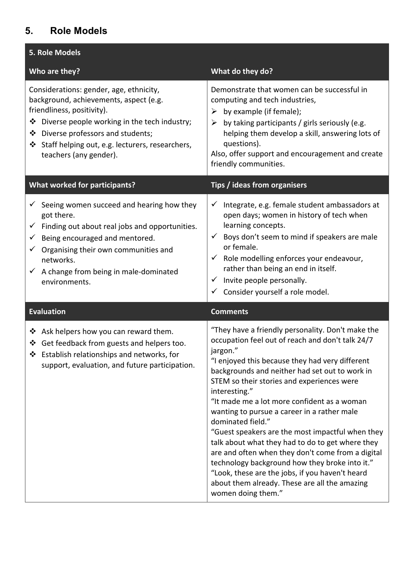## **5. Role Models**

| 5. Role Models                                                                                                                                                                                                                                                                                                            |                                                                                                                                                                                                                                                                                                                                                                                                                                                                                                                                                                                                                                                                                                                                                   |  |
|---------------------------------------------------------------------------------------------------------------------------------------------------------------------------------------------------------------------------------------------------------------------------------------------------------------------------|---------------------------------------------------------------------------------------------------------------------------------------------------------------------------------------------------------------------------------------------------------------------------------------------------------------------------------------------------------------------------------------------------------------------------------------------------------------------------------------------------------------------------------------------------------------------------------------------------------------------------------------------------------------------------------------------------------------------------------------------------|--|
| Who are they?                                                                                                                                                                                                                                                                                                             | What do they do?                                                                                                                                                                                                                                                                                                                                                                                                                                                                                                                                                                                                                                                                                                                                  |  |
| Considerations: gender, age, ethnicity,<br>background, achievements, aspect (e.g.<br>friendliness, positivity).<br>❖ Diverse people working in the tech industry;<br>Diverse professors and students;<br>Staff helping out, e.g. lecturers, researchers,<br>teachers (any gender).                                        | Demonstrate that women can be successful in<br>computing and tech industries,<br>$\triangleright$ by example (if female);<br>by taking participants / girls seriously (e.g.<br>➤<br>helping them develop a skill, answering lots of<br>questions).<br>Also, offer support and encouragement and create<br>friendly communities.                                                                                                                                                                                                                                                                                                                                                                                                                   |  |
| What worked for participants?                                                                                                                                                                                                                                                                                             | Tips / ideas from organisers                                                                                                                                                                                                                                                                                                                                                                                                                                                                                                                                                                                                                                                                                                                      |  |
| $\checkmark$ Seeing women succeed and hearing how they<br>got there.<br>Finding out about real jobs and opportunities.<br>$\checkmark$<br>Being encouraged and mentored.<br>✓<br>Organising their own communities and<br>$\checkmark$<br>networks.<br>$\checkmark$ A change from being in male-dominated<br>environments. | Integrate, e.g. female student ambassadors at<br>$\checkmark$<br>open days; women in history of tech when<br>learning concepts.<br>Boys don't seem to mind if speakers are male<br>$\checkmark$<br>or female.<br>$\checkmark$ Role modelling enforces your endeavour,<br>rather than being an end in itself.<br>$\checkmark$ Invite people personally.<br>$\checkmark$ Consider yourself a role model.                                                                                                                                                                                                                                                                                                                                            |  |
| <b>Evaluation</b>                                                                                                                                                                                                                                                                                                         | <b>Comments</b>                                                                                                                                                                                                                                                                                                                                                                                                                                                                                                                                                                                                                                                                                                                                   |  |
| ❖ Ask helpers how you can reward them.<br>❖ Get feedback from guests and helpers too.<br>❖ Establish relationships and networks, for<br>support, evaluation, and future participation.                                                                                                                                    | "They have a friendly personality. Don't make the<br>occupation feel out of reach and don't talk 24/7<br>jargon."<br>"I enjoyed this because they had very different<br>backgrounds and neither had set out to work in<br>STEM so their stories and experiences were<br>interesting."<br>"It made me a lot more confident as a woman<br>wanting to pursue a career in a rather male<br>dominated field."<br>"Guest speakers are the most impactful when they<br>talk about what they had to do to get where they<br>are and often when they don't come from a digital<br>technology background how they broke into it."<br>"Look, these are the jobs, if you haven't heard<br>about them already. These are all the amazing<br>women doing them." |  |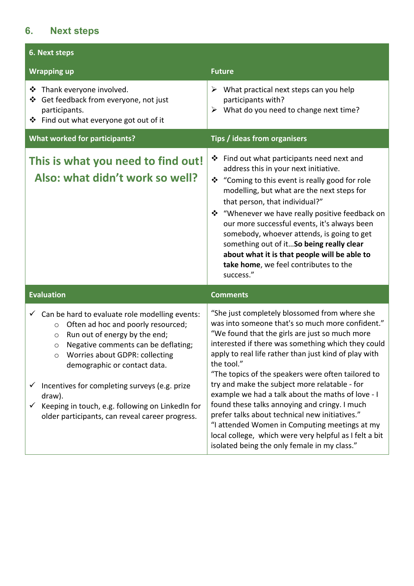## **6. Next steps**

| <b>6. Next steps</b>                                                                                                                                                                                                                                                                                                                                                                                                                             |                                                                                                                                                                                                                                                                                                                                                                                                                                                                                                                                                                                                                                                                                                            |
|--------------------------------------------------------------------------------------------------------------------------------------------------------------------------------------------------------------------------------------------------------------------------------------------------------------------------------------------------------------------------------------------------------------------------------------------------|------------------------------------------------------------------------------------------------------------------------------------------------------------------------------------------------------------------------------------------------------------------------------------------------------------------------------------------------------------------------------------------------------------------------------------------------------------------------------------------------------------------------------------------------------------------------------------------------------------------------------------------------------------------------------------------------------------|
| <b>Wrapping up</b>                                                                                                                                                                                                                                                                                                                                                                                                                               | <b>Future</b>                                                                                                                                                                                                                                                                                                                                                                                                                                                                                                                                                                                                                                                                                              |
| ❖ Thank everyone involved.<br>❖ Get feedback from everyone, not just<br>participants.<br>❖ Find out what everyone got out of it                                                                                                                                                                                                                                                                                                                  | What practical next steps can you help<br>➤<br>participants with?<br>What do you need to change next time?<br>➤                                                                                                                                                                                                                                                                                                                                                                                                                                                                                                                                                                                            |
| <b>What worked for participants?</b>                                                                                                                                                                                                                                                                                                                                                                                                             | Tips / ideas from organisers                                                                                                                                                                                                                                                                                                                                                                                                                                                                                                                                                                                                                                                                               |
| This is what you need to find out!<br>Also: what didn't work so well?                                                                                                                                                                                                                                                                                                                                                                            | $\clubsuit$ Find out what participants need next and<br>address this in your next initiative.<br>* "Coming to this event is really good for role<br>modelling, but what are the next steps for<br>that person, that individual?"<br>❖ "Whenever we have really positive feedback on<br>our more successful events, it's always been<br>somebody, whoever attends, is going to get<br>something out of itSo being really clear<br>about what it is that people will be able to<br>take home, we feel contributes to the<br>success."                                                                                                                                                                        |
| <b>Evaluation</b>                                                                                                                                                                                                                                                                                                                                                                                                                                | <b>Comments</b>                                                                                                                                                                                                                                                                                                                                                                                                                                                                                                                                                                                                                                                                                            |
| Can be hard to evaluate role modelling events:<br>✓<br>Often ad hoc and poorly resourced;<br>$\circ$<br>Run out of energy by the end;<br>$\circ$<br>Negative comments can be deflating;<br>$\circ$<br>Worries about GDPR: collecting<br>O<br>demographic or contact data.<br>Incentives for completing surveys (e.g. prize<br>✓<br>draw).<br>Keeping in touch, e.g. following on LinkedIn for<br>older participants, can reveal career progress. | "She just completely blossomed from where she<br>was into someone that's so much more confident."<br>"We found that the girls are just so much more<br>interested if there was something which they could<br>apply to real life rather than just kind of play with<br>the tool."<br>"The topics of the speakers were often tailored to<br>try and make the subject more relatable - for<br>example we had a talk about the maths of love - I<br>found these talks annoying and cringy. I much<br>prefer talks about technical new initiatives."<br>"I attended Women in Computing meetings at my<br>local college, which were very helpful as I felt a bit<br>isolated being the only female in my class." |